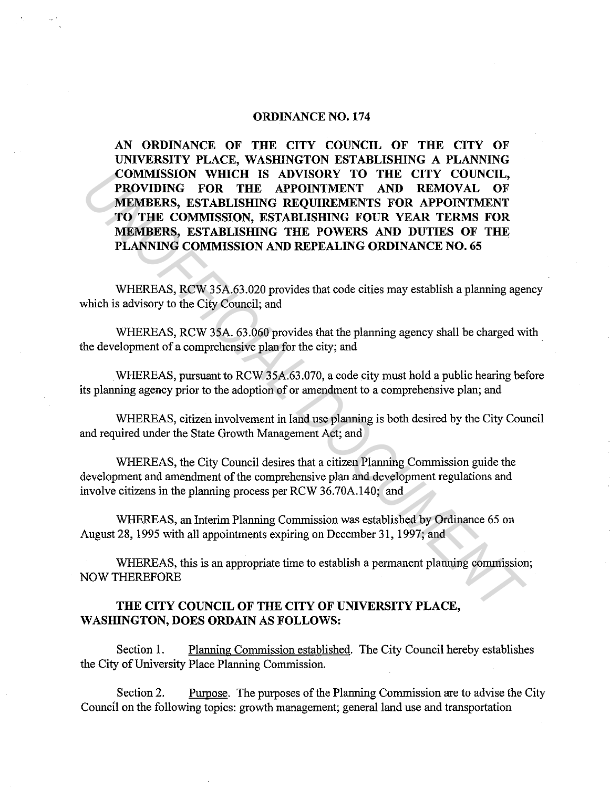## **ORDINANCE NO. 174**

**AN ORDINANCE OF THE CITY COUNCIL OF THE CITY OF UNIVERSITY PLACE, WASHINGTON ESTABLISIIlNG A PLANNING COMMISSION WHICH IS ADVISORY TO THE CITY COUNCIL, PROVIDING FOR THE APPOINTMENT AND REMOVAL OF MEMBERS, ESTABLISHING REQUIREMENTS FOR APPOINTMENT TO THE COMMISSION, ESTABLISHING FOUR YEAR TERMS FOR MEMBERS, ESTABLISHING THE POWERS AND DUTIES OF THE PLANNING COMMISSION AND REPEALING ORDINANCE NO. 65**  COMMISSION WHICH IS ADVISORY TO THE CITY COUNCIL,<br> **PROVIDING FOR THE APPOINTMENT AND REMOVAL OF**<br> **MEMBERS, ESTABLISHING REQUIREMENTS FOR APPOINTMENT**<br>
TO THE COMMISSION, ESTABLISHING REQUIREMENTS FOR APPOINTMENT<br> **MEMBER** 

WHEREAS, RCW 35A.63.020 provides that code cities may establish a planning agency which is advisory to the City Council; and

WHEREAS, RCW 35A. 63.060 provides that the planning agency shall be charged with the development of a comprehensive plan for the city; and

WHEREAS, pursuant to RCW 35A.63.070, a code city must hold a public hearing before its planning agency prior to the adoption of or amendment to a comprehensive plan; and

WHEREAS, citizen involvement in land use planning is both desired by the City Council and required under the State Growth Management Act; and

WHEREAS, the City Council desires that a citizen Planning Commission guide the development and amendment of the comprehensive plan and development regulations and involve citizens in the planning process per RCW 36.70A.140; and

WHEREAS, an Interim Planning Commission was established by Ordinance 65 on August 28, 1995 with all appointments expiring on December 31, 1997; and

WHEREAS, this is an appropriate time to establish a permanent planning commission; NOW THEREFORE

## **THE CITY COUNCIL OF THE CITY OF UNIVERSITY PLACE, WASHINGTON, DOES ORDAIN AS FOLLOWS:**

Section 1. Planning Commission established. The City Council hereby establishes the City of University Place Planning Commission.

Section 2. Purpose. The purposes of the Planning Commission are to advise the City Council on the following topics: growth management; general land use and transportation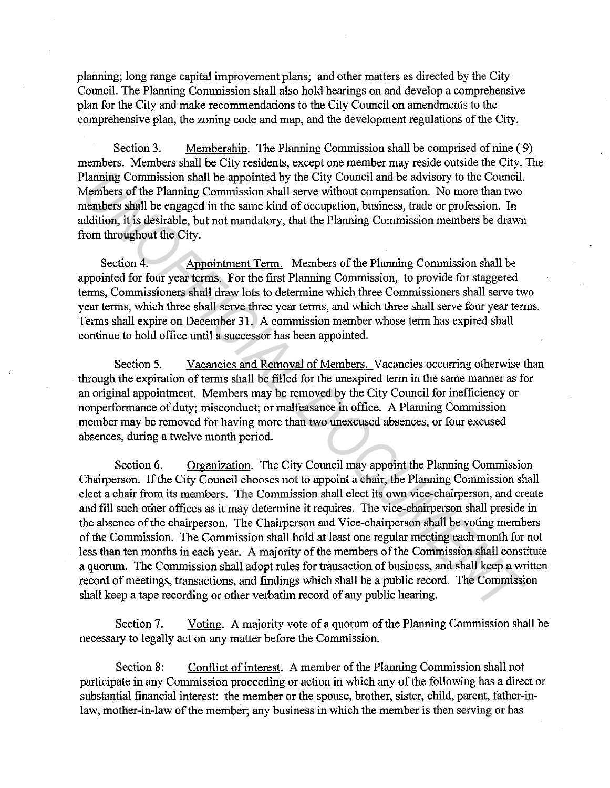planning; long range capital improvement plans; and other matters as directed by the City Council. The Planning Commission shall also hold hearings on and develop a comprehensive plan for the City and make recommendations to the City Council on amendments to the comprehensive plan, the zoning code and map, and the development regulations of the City.

Section 3. Membership. The Planning Commission shall be comprised of nine ( 9) members. Members shall be City residents, except one member may reside outside the City. The Planning Commission shall be appointed by the City Council and be advisory to the Council. Members of the Planning Commission shall serve without compensation. No more than two members shall be engaged in the same kind of occupation, business, trade or profession. In addition, it is desirable, but not mandatory, that the Planning Commission members be drawn from throughout the City.

Section 4. Appointment Term. Members of the Planning Commission shall be appointed for four year terms. For the first Planning Connnission, to provide for staggered terms, Commissioners shall draw lots to determine which three Commissioners shall serve two year terms, which three shall serve three year terms, and which three shall serve four year terms. Terms shall expire on December 31. A commission member whose term has expired shall continue to hold office until a successor has been appointed.

Section 5. Vacancies and Removal of Members. Vacancies occurring otherwise than through the expiration of terms shall be filled for the unexpired term in the same manner as for an original appointment. Members may be removed by the City Council for inefficiency or nonperformance of duty; misconduct; or malfeasance in office. A Planning Commission member may be removed for having more than two unexcused absences, or four excused absences, during a twelve month period.

Section 6. Organization. The City Council may appoint the Planning Commission Chairperson. If the City Council chooses not to appoint a chair, the Planning Commission shall elect a chair from its members. The Commission shall elect its own vice-chairperson, and create and fill such other offices as it may determine it requires. The vice-chairperson shall preside in the absence of the chairperson. The Chairperson and Vice-chairperson shall be voting members of the Connnission. The Commission shall hold at least one regular meeting each month for not less than ten months in each year. A majority of the members of the Commission shall constitute a quorum. The Commission shall adopt rules for transaction of business, and shall keep a written record of meetings, transactions, and findings which shall be a public record. The Commission shall keep a tape recording or other verbatim record of any public hearing. Planning Commission shall be appointed by the City Council and be advisory to the Council.<br>Members of the Planning Commission shall serve without compensation. No more than two<br>members shall be engaged in the same kind of

Section 7. Voting. A majority vote of a quorum of the Planning Commission shall be necessary to legally act on any matter before the Commission.

Section 8: Conflict of interest. A member of the Planning Commission shall not participate in any Commission proceeding or action in which any of the following has a direct or substantial financial interest: the member or the spouse, brother, sister, child, parent, father-inlaw, mother-in-law of the member; any business in which the member is then serving or has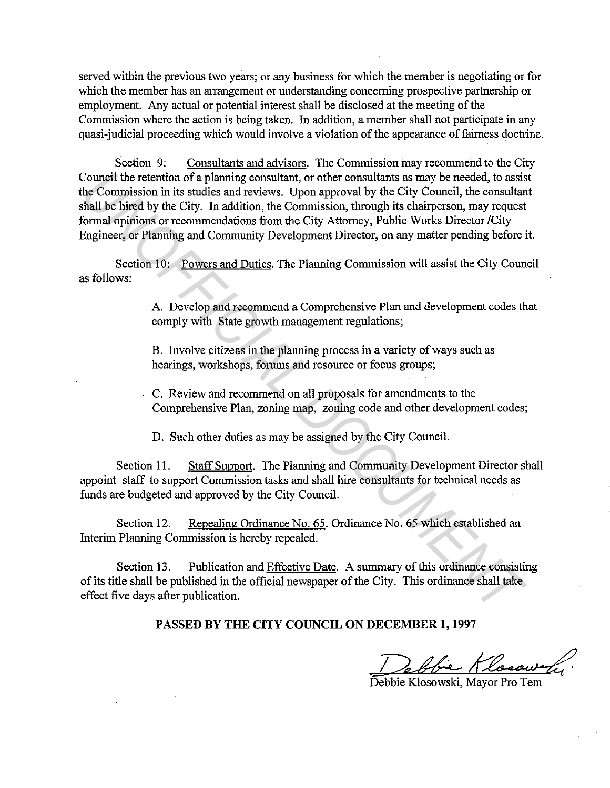served within the previous two years; or any business for which the member is negotiating or for which the member has an arrangement or understanding concerning prospective partnership or employment. Any actual or potential interest shall be disclosed at the meeting of the Commission where the action is being taken. In addition, a member shall not participate in any quasi-judicial proceeding which would involve a violation of the appearance of fairness doctrine.

Section 9: Consultants and advisors. The Commission may recommend to the City Council the retention of a planning consultant, or other consultants as may be needed, to assist the Commission in its studies and reviews. Upon approval by the City Council, the consultant shall be hired by the City. In addition, the Commission, through its chairperson, may request formal opinions or recommendations from the City Attorney, Public Works Director /City Engineer, or Planning and Community Development Director, on any matter pending before it. Council the retention of a planning consultant, or other consultants as may be needed, to assis<br>the Commission in its studies and reviews. Upon approval by the City Council, the consultane<br>formal be hired by the City. In a

Section 10: Powers and Duties. The Planning Commission will assist the City Council as follows:

> A. Develop and recommend a Comprehensive Plan and development codes that comply with State growth management regulations;

B. Involve citizens in the planning process in a variety of ways such as hearings, workshops, forums and resource or focus groups;

C. Review and recommend on all proposals for amendments to the Comprehensive Plan, zoning map, zoning code and other development codes;

D. Such other duties as may be assigned by the City Council.

Section 11. Staff Support. The Planning and Community Development Director shall appoint staff to support Commission tasks and shall hire consultants for technical needs as funds are budgeted and approved by the City Council.

Section 12. Repealing Ordinance No. 65. Ordinance No. 65 which established an Interim Planning Commission is hereby repealed.

Section 13. Publication and Effective Date. A summary of this ordinance consisting of its title shall be published in the official newspaper of the City. This ordinance shall take effect five days after publication.

**PASSED BY THE CITY COUNCIL ON DECEMBER 1, 1997** 

Debbie Rosowski, Margarety